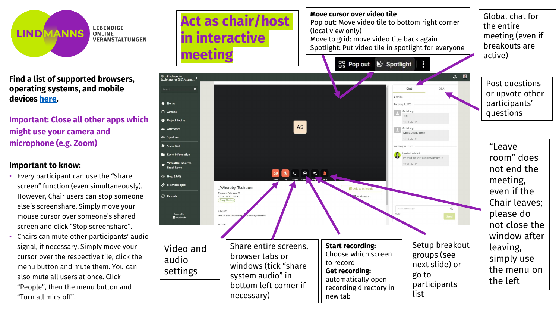

**LEBENDIGE ONLINE VERANSTALTUNGEN** 

**Find a list of supported browsers, operating systems, and mobile devices [here](https://whereby.helpscoutdocs.com/article/415-supported-devices).**

**Important: Close all other apps which might use your camera and microphone (e.g. Zoom)**

## **Important to know:**

- Every participant can use the "Share screen" function (even simultaneously). However, Chair users can stop someone else's screenshare. Simply move your mouse cursor over someone's shared screen and click "Stop screenshare".
- Chairs can mute other participants' audio signal, if necessary. Simply move your cursor over the respective tile, click the menu button and mute them. You can also mute all users at once. Click "People", then the menu button and "Turn all mics off".